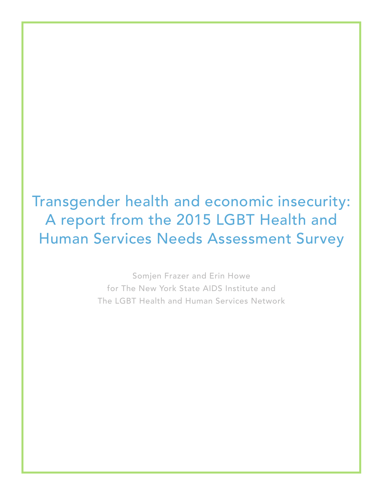Transgender health and economic insecurity: A report from the 2015 LGBT Health and Human Services Needs Assessment Survey

> Somjen Frazer and Erin Howe for The New York State AIDS Institute and The LGBT Health and Human Services Network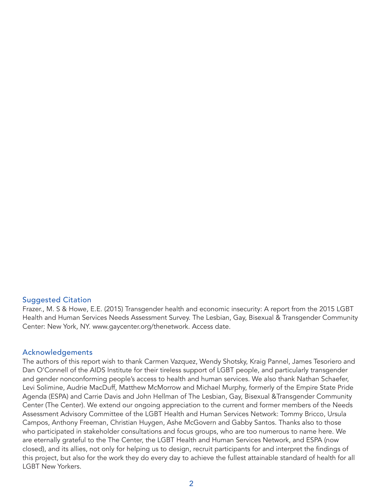#### Suggested Citation

Frazer., M. S & Howe, E.E. (2015) Transgender health and economic insecurity: A report from the 2015 LGBT Health and Human Services Needs Assessment Survey. The Lesbian, Gay, Bisexual & Transgender Community Center: New York, NY. www.gaycenter.org/thenetwork. Access date.

#### Acknowledgements

The authors of this report wish to thank Carmen Vazquez, Wendy Shotsky, Kraig Pannel, James Tesoriero and Dan O'Connell of the AIDS Institute for their tireless support of LGBT people, and particularly transgender and gender nonconforming people's access to health and human services. We also thank Nathan Schaefer, Levi Solimine, Audrie MacDuff, Matthew McMorrow and Michael Murphy, formerly of the Empire State Pride Agenda (ESPA) and Carrie Davis and John Hellman of The Lesbian, Gay, Bisexual &Transgender Community Center (The Center). We extend our ongoing appreciation to the current and former members of the Needs Assessment Advisory Committee of the LGBT Health and Human Services Network: Tommy Bricco, Ursula Campos, Anthony Freeman, Christian Huygen, Ashe McGovern and Gabby Santos. Thanks also to those who participated in stakeholder consultations and focus groups, who are too numerous to name here. We are eternally grateful to the The Center, the LGBT Health and Human Services Network, and ESPA (now closed), and its allies, not only for helping us to design, recruit participants for and interpret the findings of this project, but also for the work they do every day to achieve the fullest attainable standard of health for all LGBT New Yorkers.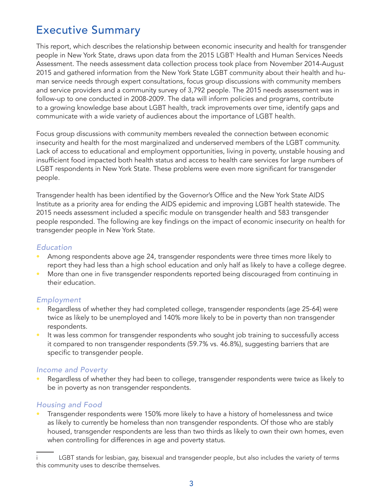# Executive Summary

This report, which describes the relationship between economic insecurity and health for transgender people in New York State, draws upon data from the 2015 LGBTi Health and Human Services Needs Assessment. The needs assessment data collection process took place from November 2014-August 2015 and gathered information from the New York State LGBT community about their health and human service needs through expert consultations, focus group discussions with community members and service providers and a community survey of 3,792 people. The 2015 needs assessment was in follow-up to one conducted in 2008-2009. The data will inform policies and programs, contribute to a growing knowledge base about LGBT health, track improvements over time, identify gaps and communicate with a wide variety of audiences about the importance of LGBT health.

Focus group discussions with community members revealed the connection between economic insecurity and health for the most marginalized and underserved members of the LGBT community. Lack of access to educational and employment opportunities, living in poverty, unstable housing and insufficient food impacted both health status and access to health care services for large numbers of LGBT respondents in New York State. These problems were even more significant for transgender people.

Transgender health has been identified by the Governor's Office and the New York State AIDS Institute as a priority area for ending the AIDS epidemic and improving LGBT health statewide. The 2015 needs assessment included a specific module on transgender health and 583 transgender people responded. The following are key findings on the impact of economic insecurity on health for transgender people in New York State.

#### *Education*

- Among respondents above age 24, transgender respondents were three times more likely to report they had less than a high school education and only half as likely to have a college degree.
- More than one in five transgender respondents reported being discouraged from continuing in their education.

#### *Employment*

- Regardless of whether they had completed college, transgender respondents (age 25-64) were twice as likely to be unemployed and 140% more likely to be in poverty than non transgender respondents.
- It was less common for transgender respondents who sought job training to successfully access it compared to non transgender respondents (59.7% vs. 46.8%), suggesting barriers that are specific to transgender people.

#### *Income and Poverty*

• Regardless of whether they had been to college, transgender respondents were twice as likely to be in poverty as non transgender respondents.

## *Housing and Food*

• Transgender respondents were 150% more likely to have a history of homelessness and twice as likely to currently be homeless than non transgender respondents. Of those who are stably housed, transgender respondents are less than two thirds as likely to own their own homes, even when controlling for differences in age and poverty status.

LGBT stands for lesbian, gay, bisexual and transgender people, but also includes the variety of terms this community uses to describe themselves.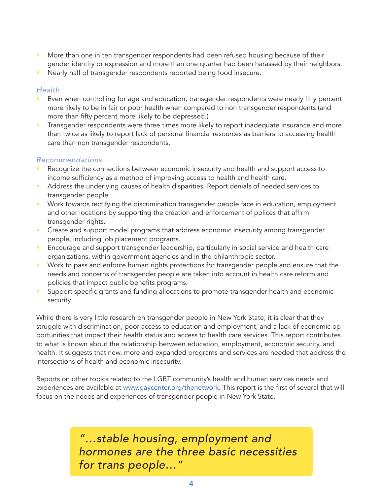- More than one in ten transgender respondents had been refused housing because of their gender identity or expression and more than one quarter had been harassed by their neighbors.
- Nearly half of transgender respondents reported being food insecure.

#### *Health*

- Even when controlling for age and education, transgender respondents were nearly fifty percent more likely to be in fair or poor health when compared to non transgender respondents (and more than fifty percent more likely to be depressed.)
- Transgender respondents were three times more likely to report inadequate insurance and more than twice as likely to report lack of personal financial resources as barriers to accessing health care than non transgender respondents.

### *Recommendations*

- Recognize the connections between economic insecurity and health and support access to income sufficiency as a method of improving access to health and health care.
- Address the underlying causes of health disparities. Report denials of needed services to transgender people.
- Work towards rectifying the discrimination transgender people face in education, employment and other locations by supporting the creation and enforcement of polices that affirm transgender rights.
- Create and support model programs that address economic insecurity among transgender people, including job placement programs.
- Encourage and support transgender leadership, particularly in social service and health care organizations, within government agencies and in the philanthropic sector.
- Work to pass and enforce human rights protections for transgender people and ensure that the needs and concerns of transgender people are taken into account in health care reform and policies that impact public benefits programs.
- Support specific grants and funding allocations to promote transgender health and economic security.

While there is very little research on transgender people in New York State, it is clear that they struggle with discrimination, poor access to education and employment, and a lack of economic opportunities that impact their health status and access to health care services. This report contributes to what is known about the relationship between education, employment, economic security, and health. It suggests that new, more and expanded programs and services are needed that address the intersections of health and economic insecurity.

Reports on other topics related to the LGBT community's health and human services needs and experiences are available at www.gaycenter.org/thenetwork. This report is the first of several that will focus on the needs and experiences of transgender people in New York State.

> *"…stable housing, employment and hormones are the three basic necessities for trans people…"*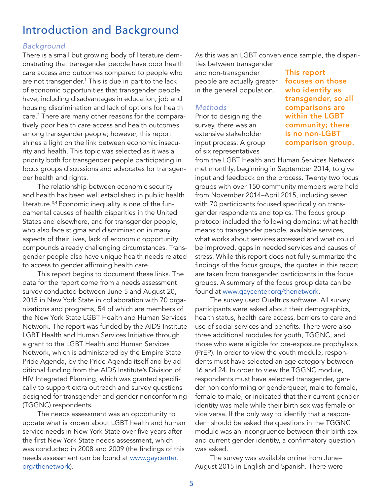# Introduction and Background

#### *Background*

There is a small but growing body of literature demonstrating that transgender people have poor health care access and outcomes compared to people who are not transgender.1 This is due in part to the lack of economic opportunities that transgender people have, including disadvantages in education, job and housing discrimination and lack of options for health care.2 There are many other reasons for the comparatively poor health care access and health outcomes among transgender people; however, this report shines a light on the link between economic insecurity and health. This topic was selected as it was a priority both for transgender people participating in focus groups discussions and advocates for transgender health and rights.

The relationship between economic security and health has been well established in public health literature.3,4 Economic inequality is one of the fundamental causes of health disparities in the United States and elsewhere, and for transgender people, who also face stigma and discrimination in many aspects of their lives, lack of economic opportunity compounds already challenging circumstances. Transgender people also have unique health needs related to access to gender affirming health care.

This report begins to document these links. The data for the report come from a needs assessment survey conducted between June 5 and August 20, 2015 in New York State in collaboration with 70 organizations and programs, 54 of which are members of the New York State LGBT Health and Human Services Network. The report was funded by the AIDS Institute LGBT Health and Human Services Initiative through a grant to the LGBT Health and Human Services Network, which is administered by the Empire State Pride Agenda, by the Pride Agenda itself and by additional funding from the AIDS Institute's Division of HIV Integrated Planning, which was granted specifically to support extra outreach and survey questions designed for transgender and gender nonconforming (TGGNC) respondents.

The needs assessment was an opportunity to update what is known about LGBT health and human service needs in New York State over five years after the first New York State needs assessment, which was conducted in 2008 and 2009 (the findings of this needs assessment can be found at www.gaycenter. org/thenetwork).

As this was an LGBT convenience sample, the dispari-

ties between transgender and non-transgender people are actually greater in the general population.

#### *Methods*

Prior to designing the survey, there was an extensive stakeholder input process. A group of six representatives

This report focuses on those who identify as transgender, so all comparisons are within the LGBT community; there is no non-LGBT comparison group.

from the LGBT Health and Human Services Network met monthly, beginning in September 2014, to give input and feedback on the process. Twenty two focus groups with over 150 community members were held from November 2014–April 2015, including seven with 70 participants focused specifically on transgender respondents and topics. The focus group protocol included the following domains: what health means to transgender people, available services, what works about services accessed and what could be improved, gaps in needed services and causes of stress. While this report does not fully summarize the findings of the focus groups, the quotes in this report are taken from transgender participants in the focus groups. A summary of the focus group data can be found at www.gaycenter.org/thenetwork.

The survey used Qualtrics software. All survey participants were asked about their demographics, health status, health care access, barriers to care and use of social services and benefits. There were also three additional modules for youth, TGGNC, and those who were eligible for pre-exposure prophylaxis (PrEP). In order to view the youth module, respondents must have selected an age category between 16 and 24. In order to view the TGGNC module, respondents must have selected transgender, gender non conforming or genderqueer, male to female, female to male, or indicated that their current gender identity was male while their birth sex was female or vice versa. If the only way to identify that a respondent should be asked the questions in the TGGNC module was an incongruence between their birth sex and current gender identity, a confirmatory question was asked.

The survey was available online from June– August 2015 in English and Spanish. There were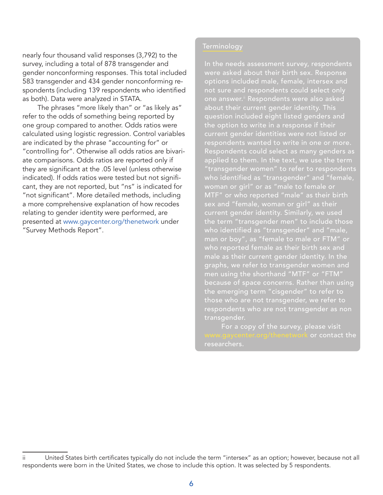nearly four thousand valid responses (3,792) to the survey, including a total of 878 transgender and gender nonconforming responses. This total included 583 transgender and 434 gender nonconforming respondents (including 139 respondents who identified as both). Data were analyzed in STATA.

The phrases "more likely than" or "as likely as" refer to the odds of something being reported by one group compared to another. Odds ratios were calculated using logistic regression. Control variables are indicated by the phrase "accounting for" or "controlling for". Otherwise all odds ratios are bivariate comparisons. Odds ratios are reported only if they are significant at the .05 level (unless otherwise indicated). If odds ratios were tested but not significant, they are not reported, but "ns" is indicated for "not significant". More detailed methods, including a more comprehensive explanation of how recodes relating to gender identity were performed, are presented at www.gaycenter.org/thenetwork under "Survey Methods Report".

#### Terminology

In the needs assessment survey, respondents were asked about their birth sex. Response options included male, female, intersex and not sure and respondents could select only one answer.<sup>ii</sup> Respondents were also asked about their current gender identity. This question included eight listed genders and the option to write in a response if their current gender identities were not listed or respondents wanted to write in one or more. Respondents could select as many genders as applied to them. In the text, we use the term "transgender women" to refer to respondents who identified as "transgender" and "female, woman or girl" or as "male to female or MTF" or who reported "male" as their birth current gender identity. Similarly, we used the term "transgender men" to include those who identified as "transgender" and "male, man or boy", as "female to male or FTM" or who reported female as their birth sex and male as their current gender identity. In the graphs, we refer to transgender women and men using the shorthand "MTF" or "FTM" because of space concerns. Rather than using the emerging term "cisgender" to refer to those who are not transgender, we refer to respondents who are not transgender as non transgender.

For a copy of the survey, please visit or contact the researchers.

ii United States birth certificates typically do not include the term "intersex" as an option; however, because not all respondents were born in the United States, we chose to include this option. It was selected by 5 respondents.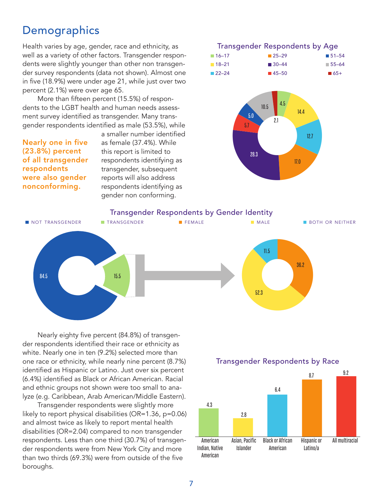# **Demographics**

Health varies by age, gender, race and ethnicity, as well as a variety of other factors. Transgender respondents were slightly younger than other non transgender survey respondents (data not shown). Almost one in five (18.9%) were under age 21, while just over two percent (2.1%) were over age 65.

More than fifteen percent (15.5%) of respondents to the LGBT health and human needs assessment survey identified as transgender. Many transgender respondents identified as male (53.5%), while

Nearly one in five (23.8%) percent of all transgender respondents were also gender nonconforming.

a smaller number identified as female (37.4%). While this report is limited to respondents identifying as transgender, subsequent reports will also address respondents identifying as gender non conforming.



# Trans<br>
4.3<br>
American<br>
Indian, Native<br>
American<br>
7 11.5<br>36.2<br>52.3 Transgender Respondents by Gender Identity not transgender transgender female male both or neither 84.5 15.5 52.3 11.5 36.2

Nearly eighty five percent (84.8%) of transgender respondents identified their race or ethnicity as white. Nearly one in ten (9.2%) selected more than one race or ethnicity, while nearly nine percent (8.7%) identified as Hispanic or Latino. Just over six percent (6.4%) identified as Black or African American. Racial and ethnic groups not shown were too small to analyze (e.g. Caribbean, Arab American/Middle Eastern).

Transgender respondents were slightly more likely to report physical disabilities (OR=1.36, p=0.06) and almost twice as likely to report mental health disabilities (OR=2.04) compared to non transgender respondents. Less than one third (30.7%) of transgender respondents were from New York City and more than two thirds (69.3%) were from outside of the five boroughs.

## Transgender Respondents by Race

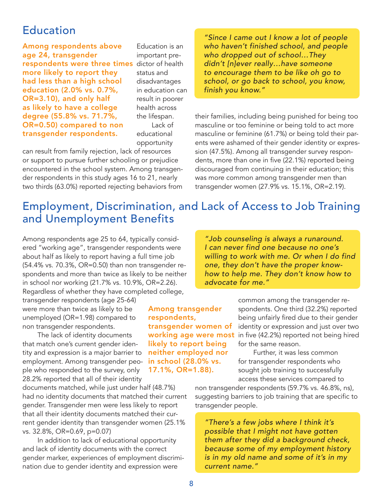## **Education**

**respondents were three times** dictor of health Among respondents above age 24, transgender more likely to report they had less than a high school education (2.0% vs. 0.7%, OR=3.10), and only half as likely to have a college degree (55.8% vs. 71.7%, OR=0.50) compared to non transgender respondents.

Education is an important prestatus and disadvantages in education can result in poorer health across the lifespan. Lack of

educational opportunity

can result from family rejection, lack of resources or support to pursue further schooling or prejudice encountered in the school system. Among transgender respondents in this study ages 16 to 21, nearly two thirds (63.0%) reported rejecting behaviors from

*"Since I came out I know a lot of people who haven't finished school, and people who dropped out of school…They didn't [n]ever really…have someone to encourage them to be like oh go to school, or go back to school, you know, finish you know."*

their families, including being punished for being too masculine or too feminine or being told to act more masculine or feminine (61.7%) or being told their parents were ashamed of their gender identity or expression (47.5%). Among all transgender survey respondents, more than one in five (22.1%) reported being discouraged from continuing in their education; this was more common among transgender men than transgender women (27.9% vs. 15.1%, OR=2.19).

# Employment, Discrimination, and Lack of Access to Job Training and Unemployment Benefits

Among respondents age 25 to 64, typically considered "working age", transgender respondents were about half as likely to report having a full time job (54.4% vs. 70.3%, OR=0.50) than non transgender respondents and more than twice as likely to be neither in school nor working (21.7% vs. 10.9%, OR=2.26). Regardless of whether they have completed college,

transgender respondents (age 25-64) were more than twice as likely to be unemployed (OR=1.98) compared to non transgender respondents.

The lack of identity documents that match one's current gender identity and expression is a major barrier to employment. Among transgender people who responded to the survey, only 28.2% reported that all of their identity

documents matched, while just under half (48.7%) had no identity documents that matched their current gender. Transgender men were less likely to report that all their identity documents matched their current gender identity than transgender women (25.1% vs. 32.8%, OR=0.69, p=0.07)

In addition to lack of educational opportunity and lack of identity documents with the correct gender marker, experiences of employment discrimination due to gender identity and expression were

*"Job counseling is always a runaround. I can never find one because no one's willing to work with me. Or when I do find one, they don't have the proper knowhow to help me. They don't know how to advocate for me."*

Among transgender respondents, transgender women of likely to report being neither employed nor in school (28.0% vs. 17.1%, OR=1.88).

common among the transgender respondents. One third (32.2%) reported being unfairly fired due to their gender identity or expression and just over two **working age were most** in five (42.2%) reported not being hired for the same reason.

> Further, it was less common for transgender respondents who sought job training to successfully access these services compared to

non transgender respondents (59.7% vs. 46.8%, ns), suggesting barriers to job training that are specific to transgender people.

*"There's a few jobs where I think it's possible that I might not have gotten them after they did a background check, because some of my employment history is in my old name and some of it's in my current name."*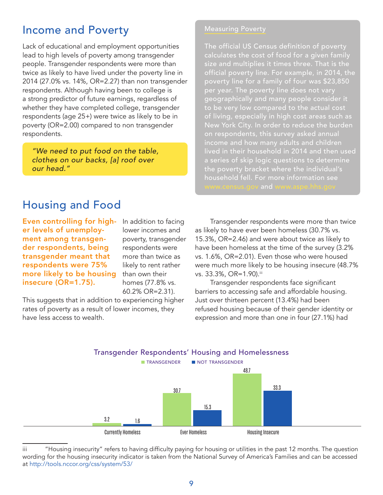# Income and Poverty

Lack of educational and employment opportunities lead to high levels of poverty among transgender people. Transgender respondents were more than twice as likely to have lived under the poverty line in 2014 (27.0% vs. 14%, OR=2.27) than non transgender respondents. Although having been to college is a strong predictor of future earnings, regardless of whether they have completed college, transgender respondents (age 25+) were twice as likely to be in poverty (OR=2.00) compared to non transgender respondents.

*"We need to put food on the table, clothes on our backs, [a] roof over our head."*

#### Measuring Poverty

The official US Census definition of poverty calculates the cost of food for a given family size and multiplies it times three. That is the official poverty line. For example, in 2014, the poverty line for a family of four was \$23,850 per year. The poverty line does not vary geographically and many people consider it to be very low compared to the actual cost of living, especially in high cost areas such as New York City. In order to reduce the burden on respondents, this survey asked annual income and how many adults and children lived in their household in 2014 and then used a series of skip logic questions to determine the poverty bracket where the individual's

# Housing and Food

Even controlling for higher levels of unemployment among transgender respondents, being transgender meant that respondents were 75% more likely to be housing insecure (OR=1.75).

In addition to facing lower incomes and poverty, transgender respondents were more than twice as likely to rent rather than own their homes (77.8% vs. 60.2% OR=2.31).

This suggests that in addition to experiencing higher rates of poverty as a result of lower incomes, they have less access to wealth.

Transgender respondents were more than twice as likely to have ever been homeless (30.7% vs. 15.3%, OR=2.46) and were about twice as likely to have been homeless at the time of the survey (3.2% vs. 1.6%, OR=2.01). Even those who were housed were much more likely to be housing insecure (48.7% vs. 33.3%, OR=1.90).iii

Transgender respondents face significant barriers to accessing safe and affordable housing. Just over thirteen percent (13.4%) had been refused housing because of their gender identity or expression and more than one in four (27.1%) had



iii "Housing insecurity" refers to having difficulty paying for housing or utilities in the past 12 months. The question wording for the housing insecurity indicator is taken from the National Survey of America's Families and can be accessed at http://tools.nccor.org/css/system/53/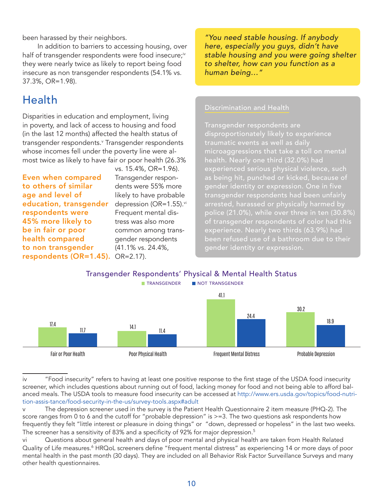been harassed by their neighbors.

In addition to barriers to accessing housing, over half of transgender respondents were food insecure;<sup>iv</sup> they were nearly twice as likely to report being food insecure as non transgender respondents (54.1% vs. 37.3%, OR=1.98).

# Health

Disparities in education and employment, living in poverty, and lack of access to housing and food (in the last 12 months) affected the health status of transgender respondents.<sup>v</sup> Transgender respondents whose incomes fell under the poverty line were almost twice as likely to have fair or poor health (26.3%

**education, transgender** depression (OR=1.55).<sup>vi</sup> respondents (OR=1.45). OR=2.17). Even when compared to others of similar age and level of respondents were 45% more likely to be in fair or poor health compared to non transgender

vs. 15.4%, OR=1.96). Transgender respondents were 55% more likely to have probable Frequent mental distress was also more common among transgender respondents (41.1% vs. 24.4%,

*"You need stable housing. If anybody here, especially you guys, didn't have stable housing and you were going shelter to shelter, how can you function as a human being…"*

#### Discrimination and Health

Transgender respondents are disproportionately likely to experience microaggressions that take a toll on mental health. Nearly one third (32.0%) had experienced serious physical violence, such as being hit, punched or kicked, because of gender identity or expression. One in five transgender respondents had been unfairly arrested, harassed or physically harmed by police (21.0%), while over three in ten (30.8%) of transgender respondents of color had this experience. Nearly two thirds (63.9%) had been refused use of a bathroom due to their gender identity or expression.



iv "Food insecurity" refers to having at least one positive response to the first stage of the USDA food insecurity screener, which includes questions about running out of food, lacking money for food and not being able to afford balanced meals. The USDA tools to measure food insecurity can be accessed at http://www.ers.usda.gov/topics/food-nutrition-assis-tance/food-security-in-the-us/survey-tools.aspx#adult

The depression screener used in the survey is the Patient Health Questionnaire 2 item measure (PHQ-2). The score ranges from 0 to 6 and the cutoff for "probable depression" is >=3. The two questions ask respondents how frequently they felt "little interest or pleasure in doing things" or "down, depressed or hopeless" in the last two weeks. The screener has a sensitivity of 83% and a specificity of 92% for major depression.<sup>5</sup>

vi Questions about general health and days of poor mental and physical health are taken from Health Related Quality of Life measures.<sup>6</sup> HRQoL screeners define "frequent mental distress" as experiencing 14 or more days of poor mental health in the past month (30 days). They are included on all Behavior Risk Factor Surveillance Surveys and many other health questionnaires.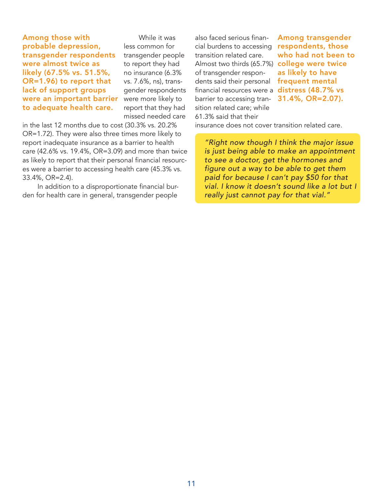Among those with probable depression, transgender respondents were almost twice as likely (67.5% vs. 51.5%, OR=1.96) to report that lack of support groups were an important barrier to adequate health care.

While it was less common for transgender people to report they had no insurance (6.3% vs. 7.6%, ns), transgender respondents were more likely to report that they had missed needed care

in the last 12 months due to cost (30.3% vs. 20.2% OR=1.72). They were also three times more likely to report inadequate insurance as a barrier to health care (42.6% vs. 19.4%, OR=3.09) and more than twice as likely to report that their personal financial resources were a barrier to accessing health care (45.3% vs. 33.4%, OR=2.4).

In addition to a disproportionate financial burden for health care in general, transgender people

also faced serious financial burdens to accessing transition related care. Almost two thirds (65.7%)  $\,$  college were twice  $\,$ of transgender respondents said their personal financial resources were a  $\,$  distress (48.7% vs $\,$ barrier to accessing transition related care; while 61.3% said that their

Among transgender respondents, those who had not been to as likely to have frequent mental 31.4%, OR=2.07).

insurance does not cover transition related care.

*"Right now though I think the major issue is just being able to make an appointment to see a doctor, get the hormones and figure out a way to be able to get them paid for because I can't pay \$50 for that vial. I know it doesn't sound like a lot but I really just cannot pay for that vial."*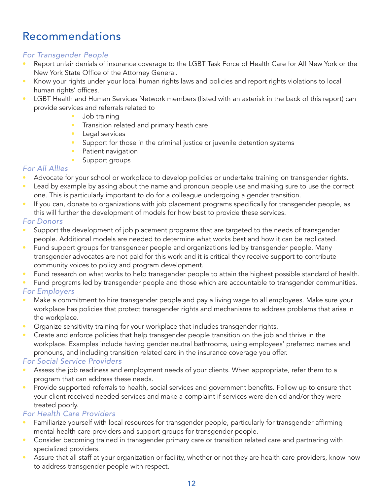# Recommendations

## *For Transgender People*

- Report unfair denials of insurance coverage to the LGBT Task Force of Health Care for All New York or the New York State Office of the Attorney General.
- Know your rights under your local human rights laws and policies and report rights violations to local human rights' offices.
- LGBT Health and Human Services Network members (listed with an asterisk in the back of this report) can provide services and referrals related to
	- Job training
	- Transition related and primary heath care
	- Legal services
	- Support for those in the criminal justice or juvenile detention systems
	- Patient navigation
	- Support groups

## *For All Allies*

- Advocate for your school or workplace to develop policies or undertake training on transgender rights.
- Lead by example by asking about the name and pronoun people use and making sure to use the correct one. This is particularly important to do for a colleague undergoing a gender transition.
- If you can, donate to organizations with job placement programs specifically for transgender people, as this will further the development of models for how best to provide these services.

## *For Donors*

- Support the development of job placement programs that are targeted to the needs of transgender people. Additional models are needed to determine what works best and how it can be replicated.
- Fund support groups for transgender people and organizations led by transgender people. Many transgender advocates are not paid for this work and it is critical they receive support to contribute community voices to policy and program development.
- Fund research on what works to help transgender people to attain the highest possible standard of health.
- Fund programs led by transgender people and those which are accountable to transgender communities.

## *For Employers*

- Make a commitment to hire transgender people and pay a living wage to all employees. Make sure your workplace has policies that protect transgender rights and mechanisms to address problems that arise in the workplace.
- Organize sensitivity training for your workplace that includes transgender rights.
- Create and enforce policies that help transgender people transition on the job and thrive in the workplace. Examples include having gender neutral bathrooms, using employees' preferred names and pronouns, and including transition related care in the insurance coverage you offer.

## *For Social Service Providers*

- Assess the job readiness and employment needs of your clients. When appropriate, refer them to a program that can address these needs.
- Provide supported referrals to health, social services and government benefits. Follow up to ensure that your client received needed services and make a complaint if services were denied and/or they were treated poorly.

## *For Health Care Providers*

- Familiarize yourself with local resources for transgender people, particularly for transgender affirming mental health care providers and support groups for transgender people.
- Consider becoming trained in transgender primary care or transition related care and partnering with specialized providers.
- Assure that all staff at your organization or facility, whether or not they are health care providers, know how to address transgender people with respect.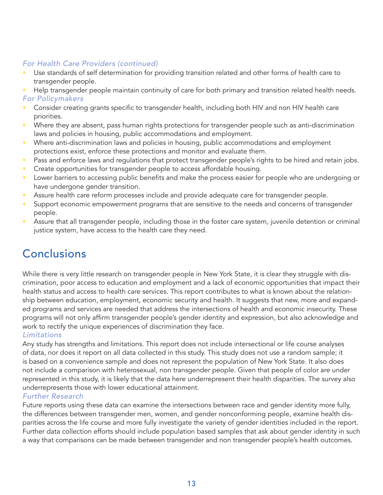## *For Health Care Providers (continued)*

- Use standards of self determination for providing transition related and other forms of health care to transgender people.
- Help transgender people maintain continuity of care for both primary and transition related health needs. *For Policymakers*
- Consider creating grants specific to transgender health, including both HIV and non HIV health care priorities.
- Where they are absent, pass human rights protections for transgender people such as anti-discrimination laws and policies in housing, public accommodations and employment.
- Where anti-discrimination laws and policies in housing, public accommodations and employment protections exist, enforce these protections and monitor and evaluate them.
- Pass and enforce laws and regulations that protect transgender people's rights to be hired and retain jobs.
- Create opportunities for transgender people to access affordable housing.
- Lower barriers to accessing public benefits and make the process easier for people who are undergoing or have undergone gender transition.
- Assure health care reform processes include and provide adequate care for transgender people.
- Support economic empowerment programs that are sensitive to the needs and concerns of transgender people.
- Assure that all transgender people, including those in the foster care system, juvenile detention or criminal justice system, have access to the health care they need.

# Conclusions

While there is very little research on transgender people in New York State, it is clear they struggle with discrimination, poor access to education and employment and a lack of economic opportunities that impact their health status and access to health care services. This report contributes to what is known about the relationship between education, employment, economic security and health. It suggests that new, more and expanded programs and services are needed that address the intersections of health and economic insecurity. These programs will not only affirm transgender people's gender identity and expression, but also acknowledge and work to rectify the unique experiences of discrimination they face.

#### *Limitations*

Any study has strengths and limitations. This report does not include intersectional or life course analyses of data, nor does it report on all data collected in this study. This study does not use a random sample; it is based on a convenience sample and does not represent the population of New York State. It also does not include a comparison with heterosexual, non transgender people. Given that people of color are under represented in this study, it is likely that the data here underrepresent their health disparities. The survey also underrepresents those with lower educational attainment.

#### *Further Research*

Future reports using these data can examine the intersections between race and gender identity more fully, the differences between transgender men, women, and gender nonconforming people, examine health disparities across the life course and more fully investigate the variety of gender identities included in the report. Further data collection efforts should include population based samples that ask about gender identity in such a way that comparisons can be made between transgender and non transgender people's health outcomes.